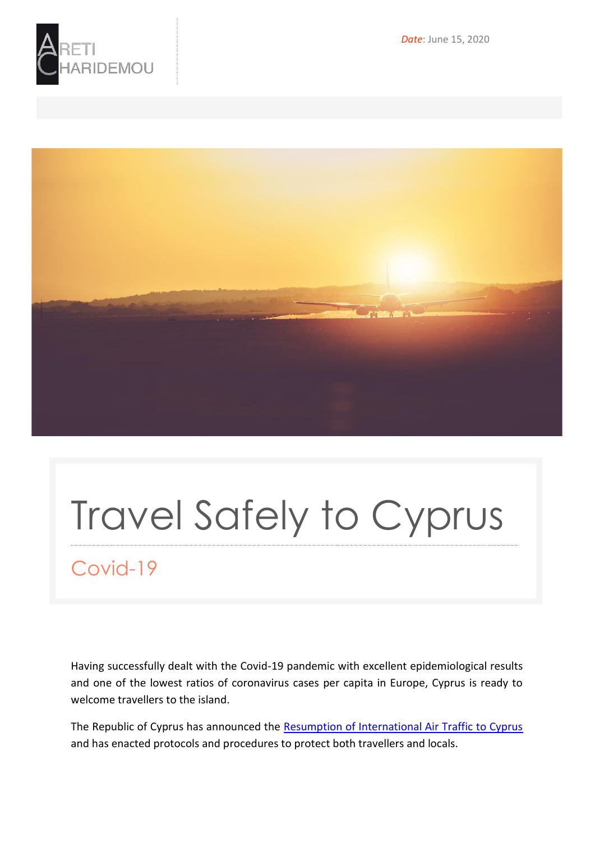

*Date*: June 15, 2020



# Travel Safely to Cyprus

## Covid-19

Having successfully dealt with the Covid-19 pandemic with excellent epidemiological results and one of the lowest ratios of coronavirus cases per capita in Europe, Cyprus is ready to welcome travellers to the island.

The Republic of Cyprus has announced the [Resumption of International Air Traffic to Cyprus](https://www.visitcyprus.com/files/COVID-19_Destination_Protocol-Cyprus_final.pdf) and has enacted protocols and procedures to protect both travellers and locals.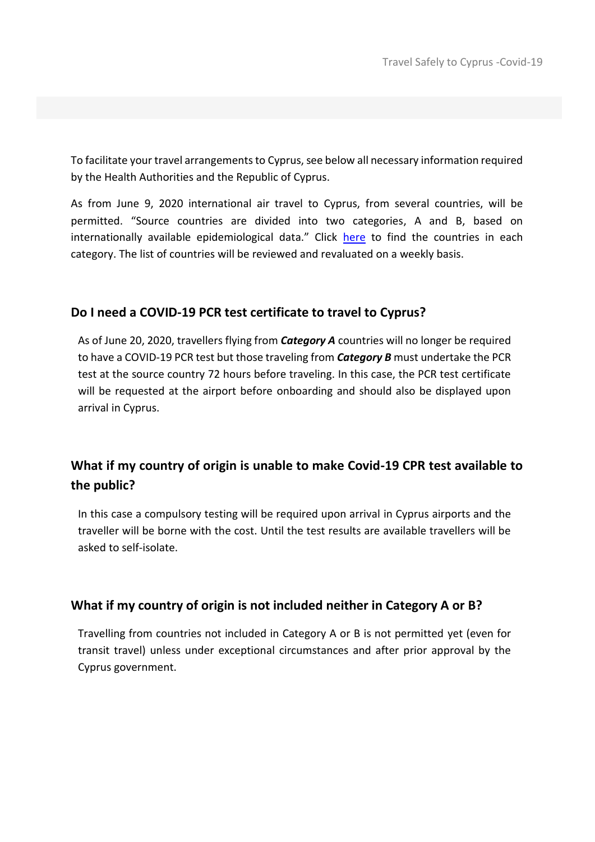To facilitate your travel arrangements to Cyprus, see below all necessary information required by the Health Authorities and the Republic of Cyprus.

As from June 9, 2020 international air travel to Cyprus, from several countries, will be permitted. "Source countries are divided into two categories, A and B, based on internationally available epidemiological data." Click [here](https://www.visitcyprus.com/index.php/en/cyprus-covid19-travel-protocol) to find the countries in each category. The list of countries will be reviewed and revaluated on a weekly basis.

#### **Do I need a COVID-19 PCR test certificate to travel to Cyprus?**

As of June 20, 2020, travellers flying from *Category A* countries will no longer be required to have a COVID-19 PCR test but those traveling from *Category B* must undertake the PCR test at the source country 72 hours before traveling. In this case, the PCR test certificate will be requested at the airport before onboarding and should also be displayed upon arrival in Cyprus.

### **What if my country of origin is unable to make Covid-19 CPR test available to the public?**

In this case a compulsory testing will be required upon arrival in Cyprus airports and the traveller will be borne with the cost. Until the test results are available travellers will be asked to self-isolate.

#### **What if my country of origin is not included neither in Category A or B?**

Travelling from countries not included in Category A or B is not permitted yet (even for transit travel) unless under exceptional circumstances and after prior approval by the Cyprus government.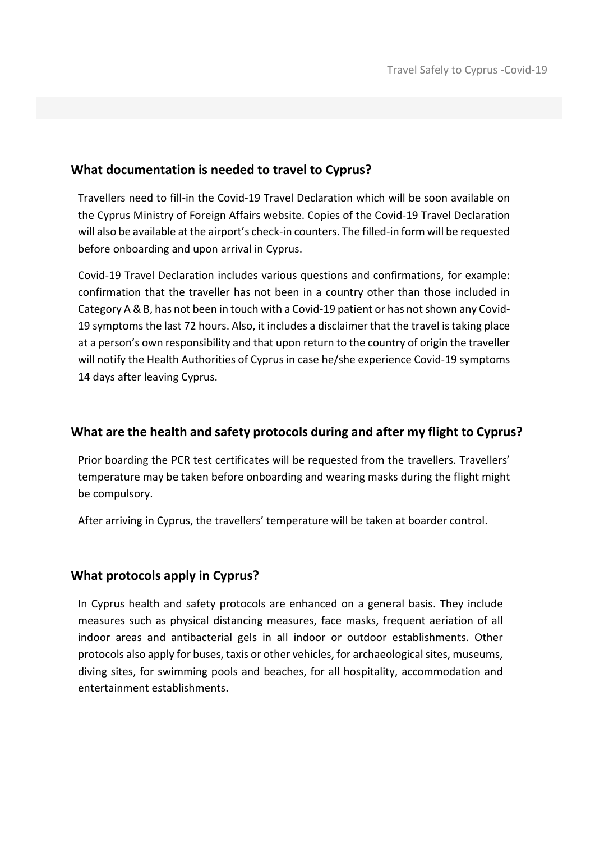#### **What documentation is needed to travel to Cyprus?**

Travellers need to fill-in the Covid-19 Travel Declaration which will be soon available on the Cyprus Ministry of Foreign Affairs website. Copies of the Covid-19 Travel Declaration will also be available at the airport's check-in counters. The filled-in form will be requested before onboarding and upon arrival in Cyprus.

Covid-19 Travel Declaration includes various questions and confirmations, for example: confirmation that the traveller has not been in a country other than those included in Category A & B, has not been in touch with a Covid-19 patient or has not shown any Covid-19 symptoms the last 72 hours. Also, it includes a disclaimer that the travel is taking place at a person's own responsibility and that upon return to the country of origin the traveller will notify the Health Authorities of Cyprus in case he/she experience Covid-19 symptoms 14 days after leaving Cyprus.

#### **What are the health and safety protocols during and after my flight to Cyprus?**

Prior boarding the PCR test certificates will be requested from the travellers. Travellers' temperature may be taken before onboarding and wearing masks during the flight might be compulsory.

After arriving in Cyprus, the travellers' temperature will be taken at boarder control.

#### **What protocols apply in Cyprus?**

In Cyprus health and safety protocols are enhanced on a general basis. They include measures such as physical distancing measures, face masks, frequent aeriation of all indoor areas and antibacterial gels in all indoor or outdoor establishments. Other protocols also apply for buses, taxis or other vehicles, for archaeological sites, museums, diving sites, for swimming pools and beaches, for all hospitality, accommodation and entertainment establishments.